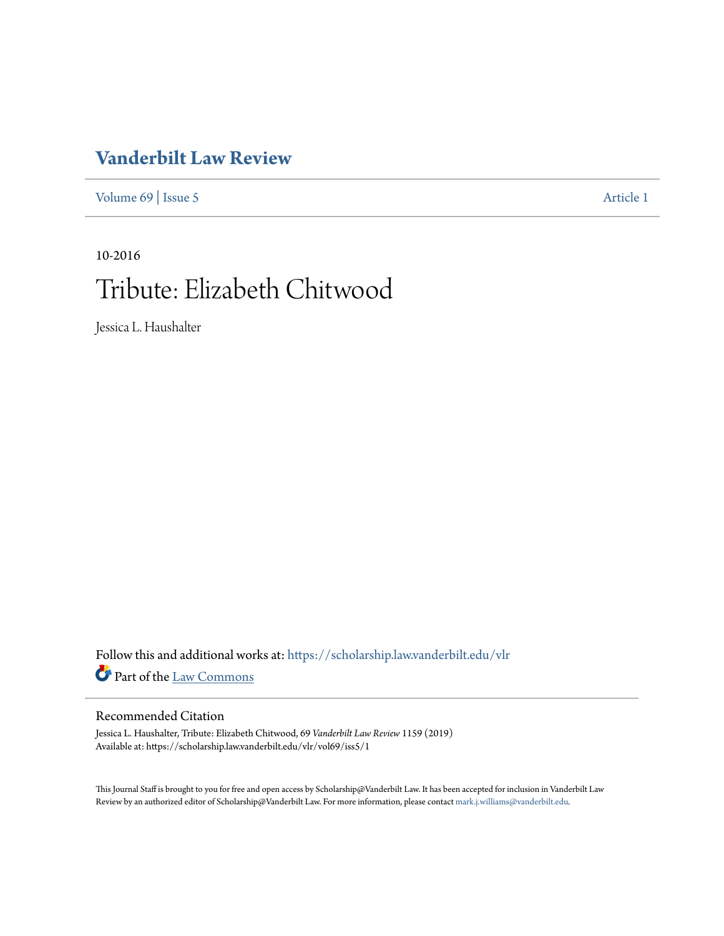## **[Vanderbilt Law Review](https://scholarship.law.vanderbilt.edu/vlr?utm_source=scholarship.law.vanderbilt.edu%2Fvlr%2Fvol69%2Fiss5%2F1&utm_medium=PDF&utm_campaign=PDFCoverPages)**

[Volume 69](https://scholarship.law.vanderbilt.edu/vlr/vol69?utm_source=scholarship.law.vanderbilt.edu%2Fvlr%2Fvol69%2Fiss5%2F1&utm_medium=PDF&utm_campaign=PDFCoverPages) | [Issue 5](https://scholarship.law.vanderbilt.edu/vlr/vol69/iss5?utm_source=scholarship.law.vanderbilt.edu%2Fvlr%2Fvol69%2Fiss5%2F1&utm_medium=PDF&utm_campaign=PDFCoverPages) [Article 1](https://scholarship.law.vanderbilt.edu/vlr/vol69/iss5/1?utm_source=scholarship.law.vanderbilt.edu%2Fvlr%2Fvol69%2Fiss5%2F1&utm_medium=PDF&utm_campaign=PDFCoverPages)

# 10-2016 Tribute: Elizabeth Chitwood

Jessica L. Haushalter

Follow this and additional works at: [https://scholarship.law.vanderbilt.edu/vlr](https://scholarship.law.vanderbilt.edu/vlr?utm_source=scholarship.law.vanderbilt.edu%2Fvlr%2Fvol69%2Fiss5%2F1&utm_medium=PDF&utm_campaign=PDFCoverPages) Part of the [Law Commons](http://network.bepress.com/hgg/discipline/578?utm_source=scholarship.law.vanderbilt.edu%2Fvlr%2Fvol69%2Fiss5%2F1&utm_medium=PDF&utm_campaign=PDFCoverPages)

#### Recommended Citation

Jessica L. Haushalter, Tribute: Elizabeth Chitwood, 69 *Vanderbilt Law Review* 1159 (2019) Available at: https://scholarship.law.vanderbilt.edu/vlr/vol69/iss5/1

This Journal Staff is brought to you for free and open access by Scholarship@Vanderbilt Law. It has been accepted for inclusion in Vanderbilt Law Review by an authorized editor of Scholarship@Vanderbilt Law. For more information, please contact [mark.j.williams@vanderbilt.edu.](mailto:mark.j.williams@vanderbilt.edu)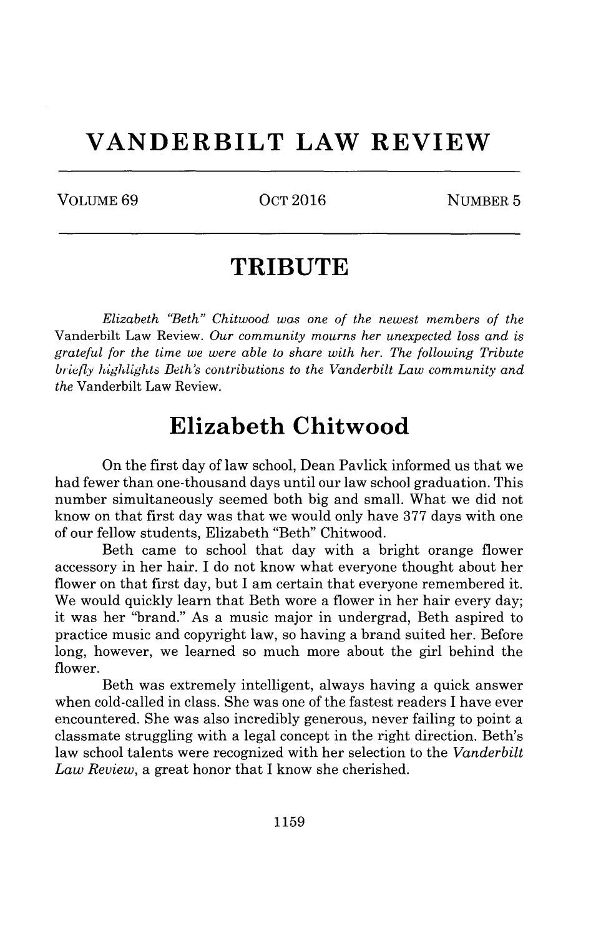# **VANDERBILT LAW REVIEW**

VOLUME 69 0CT 2016 NUMBER 5

# **TRIBUTE**

*Elizabeth "Beth" Chitwood was one of the newest members of the* Vanderbilt Law Review. *Our community mourns her unexpected loss and is grateful for the time we were able to share with her. The following Tribute* briefly *highlights Beth's contributions to the Vanderbilt Law community and the* Vanderbilt Law Review.

## **Elizabeth Chitwood**

On the first day of law school, Dean Pavlick informed us that we had fewer than one-thousand days until our law school graduation. This number simultaneously seemed both big and small. What we did not know on that first day was that we would only have 377 days with one of our fellow students, Elizabeth "Beth" Chitwood.

Beth came to school that day with a bright orange flower accessory in her hair. I do not know what everyone thought about her flower on that first day, but I am certain that everyone remembered it. We would quickly learn that Beth wore a flower in her hair every day; it was her "brand." As a music major in undergrad, Beth aspired to practice music and copyright law, so having a brand suited her. Before long, however, we learned so much more about the girl behind the flower.

Beth was extremely intelligent, always having a quick answer when cold-called in class. She was one of the fastest readers I have ever encountered. She was also incredibly generous, never failing to point a classmate struggling with a legal concept in the right direction. Beth's law school talents were recognized with her selection to the *Vanderbilt Law Review,* a great honor that I know she cherished.